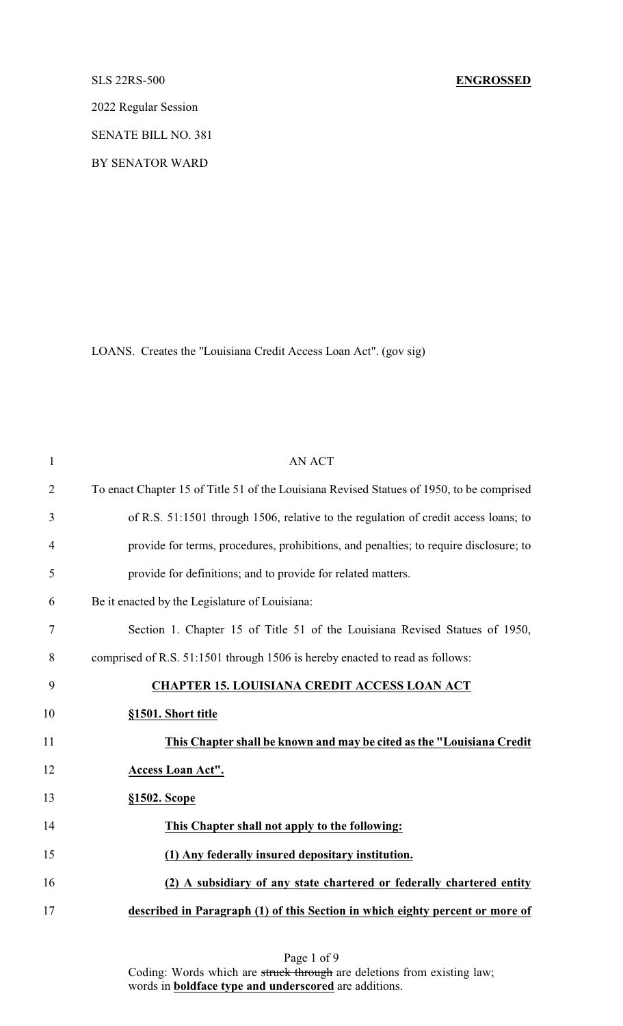# SLS 22RS-500 **ENGROSSED**

2022 Regular Session

SENATE BILL NO. 381

BY SENATOR WARD

LOANS. Creates the "Louisiana Credit Access Loan Act". (gov sig)

| $\mathbf{1}$   | <b>AN ACT</b>                                                                             |
|----------------|-------------------------------------------------------------------------------------------|
| $\overline{2}$ | To enact Chapter 15 of Title 51 of the Louisiana Revised Statues of 1950, to be comprised |
| 3              | of R.S. 51:1501 through 1506, relative to the regulation of credit access loans; to       |
| $\overline{4}$ | provide for terms, procedures, prohibitions, and penalties; to require disclosure; to     |
| 5              | provide for definitions; and to provide for related matters.                              |
| 6              | Be it enacted by the Legislature of Louisiana:                                            |
| 7              | Section 1. Chapter 15 of Title 51 of the Louisiana Revised Statues of 1950,               |
| 8              | comprised of R.S. 51:1501 through 1506 is hereby enacted to read as follows:              |
| 9              | <b>CHAPTER 15. LOUISIANA CREDIT ACCESS LOAN ACT</b>                                       |
| 10             | §1501. Short title                                                                        |
| 11             | This Chapter shall be known and may be cited as the "Louisiana Credit"                    |
| 12             | Access Loan Act".                                                                         |
| 13             | §1502. Scope                                                                              |
| 14             | This Chapter shall not apply to the following:                                            |
| 15             | (1) Any federally insured depositary institution.                                         |
| 16             | (2) A subsidiary of any state chartered or federally chartered entity                     |
| 17             | described in Paragraph (1) of this Section in which eighty percent or more of             |

Page 1 of 9 Coding: Words which are struck through are deletions from existing law; words in **boldface type and underscored** are additions.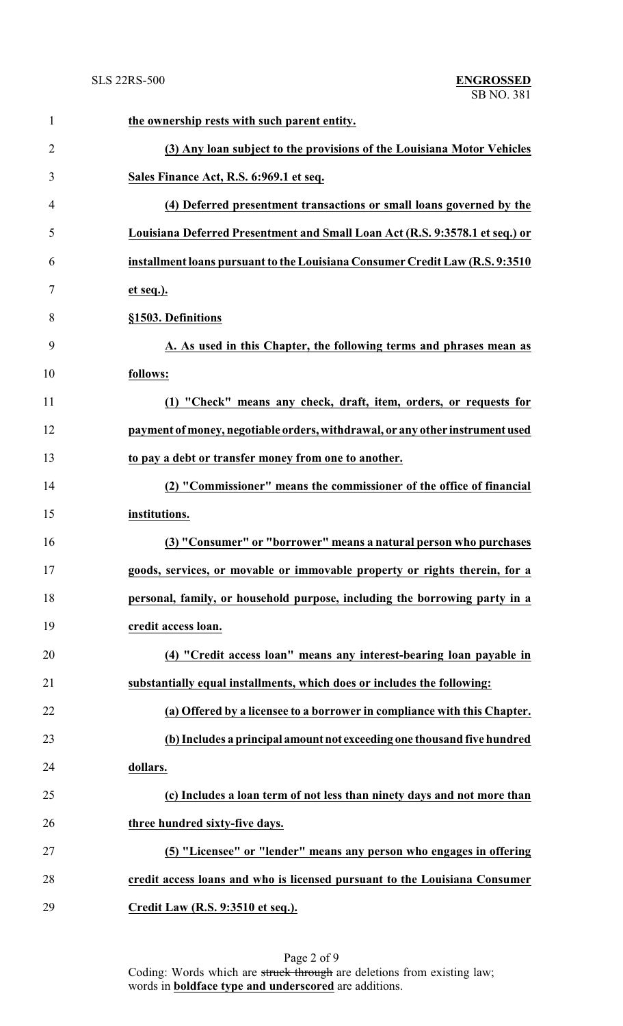| $\mathbf{1}$   | the ownership rests with such parent entity.                                  |
|----------------|-------------------------------------------------------------------------------|
| $\overline{2}$ | (3) Any loan subject to the provisions of the Louisiana Motor Vehicles        |
| 3              | Sales Finance Act, R.S. 6:969.1 et seq.                                       |
| 4              | (4) Deferred presentment transactions or small loans governed by the          |
| 5              | Louisiana Deferred Presentment and Small Loan Act (R.S. 9:3578.1 et seq.) or  |
| 6              | installment loans pursuant to the Louisiana Consumer Credit Law (R.S. 9:3510  |
| 7              | et seq.).                                                                     |
| 8              | §1503. Definitions                                                            |
| 9              | A. As used in this Chapter, the following terms and phrases mean as           |
| 10             | follows:                                                                      |
| 11             | (1) "Check" means any check, draft, item, orders, or requests for             |
| 12             | payment of money, negotiable orders, withdrawal, or any other instrument used |
| 13             | to pay a debt or transfer money from one to another.                          |
| 14             | (2) "Commissioner" means the commissioner of the office of financial          |
| 15             | institutions.                                                                 |
| 16             | (3) "Consumer" or "borrower" means a natural person who purchases             |
| 17             | goods, services, or movable or immovable property or rights therein, for a    |
| 18             | personal, family, or household purpose, including the borrowing party in a    |
| 19             | credit access loan.                                                           |
| 20             | (4) "Credit access loan" means any interest-bearing loan payable in           |
| 21             | substantially equal installments, which does or includes the following:       |
| 22             | (a) Offered by a licensee to a borrower in compliance with this Chapter.      |
| 23             | (b) Includes a principal amount not exceeding one thousand five hundred       |
| 24             | dollars.                                                                      |
| 25             | (c) Includes a loan term of not less than ninety days and not more than       |
| 26             | three hundred sixty-five days.                                                |
| 27             | (5) "Licensee" or "lender" means any person who engages in offering           |
| 28             | credit access loans and who is licensed pursuant to the Louisiana Consumer    |
| 29             | Credit Law (R.S. 9:3510 et seq.).                                             |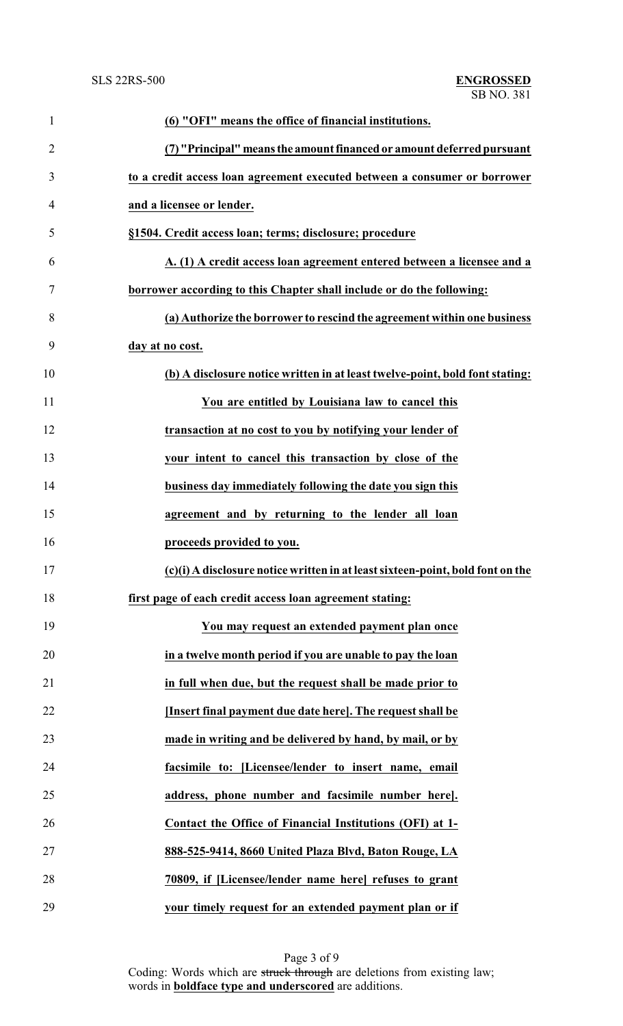| $\mathbf{1}$   | (6) "OFI" means the office of financial institutions.                          |
|----------------|--------------------------------------------------------------------------------|
| $\overline{2}$ | (7) "Principal" means the amount financed or amount deferred pursuant          |
| 3              | to a credit access loan agreement executed between a consumer or borrower      |
| 4              | and a licensee or lender.                                                      |
| 5              | §1504. Credit access loan; terms; disclosure; procedure                        |
| 6              | A. (1) A credit access loan agreement entered between a licensee and a         |
| 7              | borrower according to this Chapter shall include or do the following:          |
| 8              | (a) Authorize the borrower to rescind the agreement within one business        |
| 9              | day at no cost.                                                                |
| 10             | (b) A disclosure notice written in at least twelve-point, bold font stating:   |
| 11             | You are entitled by Louisiana law to cancel this                               |
| 12             | transaction at no cost to you by notifying your lender of                      |
| 13             | your intent to cancel this transaction by close of the                         |
| 14             | business day immediately following the date you sign this                      |
| 15             | agreement and by returning to the lender all loan                              |
| 16             | proceeds provided to you.                                                      |
| 17             | (c)(i) A disclosure notice written in at least sixteen-point, bold font on the |
| 18             | first page of each credit access loan agreement stating:                       |
| 19             | You may request an extended payment plan once                                  |
| 20             | in a twelve month period if you are unable to pay the loan                     |
| 21             | in full when due, but the request shall be made prior to                       |
| 22             | [Insert final payment due date here]. The request shall be                     |
| 23             | made in writing and be delivered by hand, by mail, or by                       |
| 24             | facsimile to: [Licensee/lender to insert name, email                           |
| 25             | address, phone number and facsimile number here].                              |
| 26             | Contact the Office of Financial Institutions (OFI) at 1-                       |
| 27             | 888-525-9414, 8660 United Plaza Blvd, Baton Rouge, LA                          |
| 28             | 70809, if [Licensee/lender name here] refuses to grant                         |
| 29             | your timely request for an extended payment plan or if                         |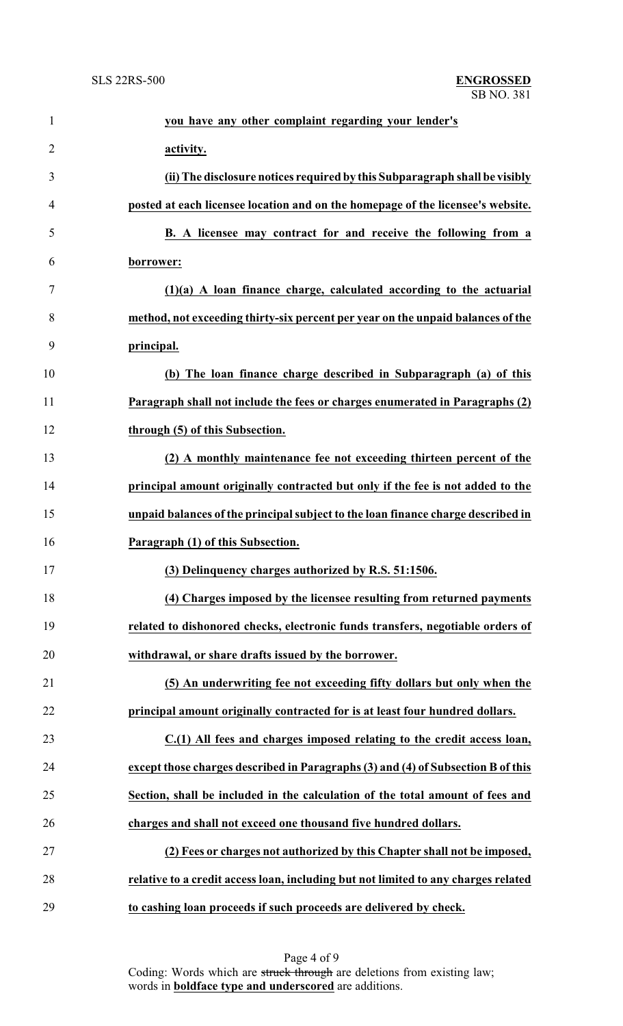| $\mathbf{1}$   | you have any other complaint regarding your lender's                               |
|----------------|------------------------------------------------------------------------------------|
| $\overline{2}$ | activity.                                                                          |
| 3              | (ii) The disclosure notices required by this Subparagraph shall be visibly         |
| $\overline{4}$ | posted at each licensee location and on the homepage of the licensee's website.    |
| 5              | B. A licensee may contract for and receive the following from a                    |
| 6              | borrower:                                                                          |
| 7              | $(1)(a)$ A loan finance charge, calculated according to the actuarial              |
| 8              | method, not exceeding thirty-six percent per year on the unpaid balances of the    |
| 9              | principal.                                                                         |
| 10             | (b) The loan finance charge described in Subparagraph (a) of this                  |
| 11             | Paragraph shall not include the fees or charges enumerated in Paragraphs (2)       |
| 12             | through (5) of this Subsection.                                                    |
| 13             | (2) A monthly maintenance fee not exceeding thirteen percent of the                |
| 14             | principal amount originally contracted but only if the fee is not added to the     |
| 15             | unpaid balances of the principal subject to the loan finance charge described in   |
| 16             | Paragraph (1) of this Subsection.                                                  |
| 17             | (3) Delinquency charges authorized by R.S. 51:1506.                                |
| 18             | (4) Charges imposed by the licensee resulting from returned payments               |
| 19             | related to dishonored checks, electronic funds transfers, negotiable orders of     |
| 20             | withdrawal, or share drafts issued by the borrower.                                |
| 21             | (5) An underwriting fee not exceeding fifty dollars but only when the              |
| 22             | principal amount originally contracted for is at least four hundred dollars.       |
| 23             | C.(1) All fees and charges imposed relating to the credit access loan,             |
| 24             | except those charges described in Paragraphs (3) and (4) of Subsection B of this   |
| 25             | Section, shall be included in the calculation of the total amount of fees and      |
| 26             | charges and shall not exceed one thousand five hundred dollars.                    |
| 27             | (2) Fees or charges not authorized by this Chapter shall not be imposed,           |
| 28             | relative to a credit access loan, including but not limited to any charges related |
| 29             | to cashing loan proceeds if such proceeds are delivered by check.                  |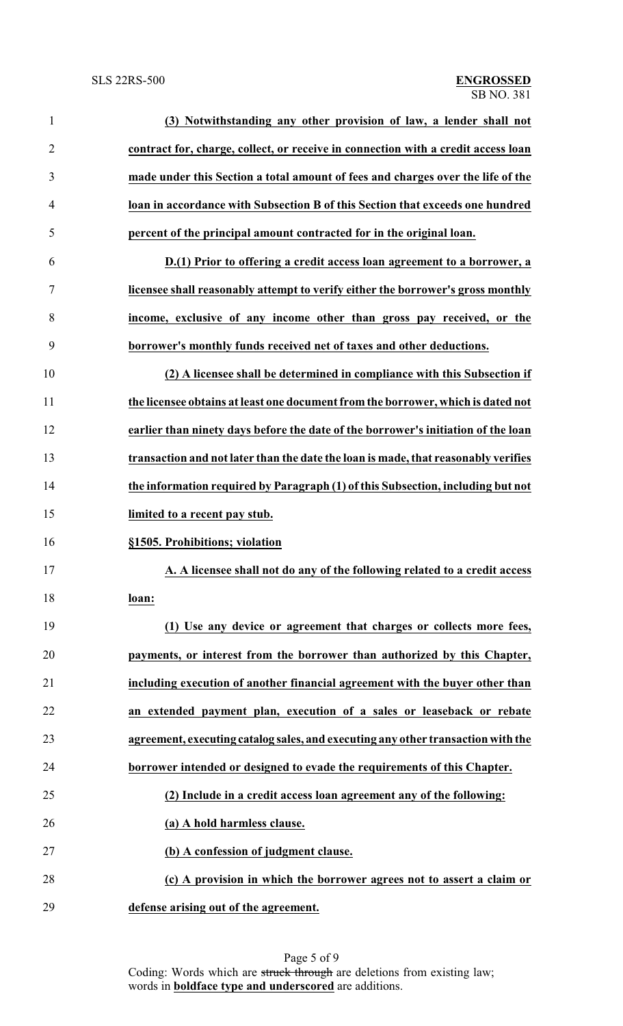| $\mathbf{1}$   | (3) Notwithstanding any other provision of law, a lender shall not                 |
|----------------|------------------------------------------------------------------------------------|
| $\overline{2}$ | contract for, charge, collect, or receive in connection with a credit access loan  |
| 3              | made under this Section a total amount of fees and charges over the life of the    |
| $\overline{4}$ | loan in accordance with Subsection B of this Section that exceeds one hundred      |
| 5              | percent of the principal amount contracted for in the original loan.               |
| 6              | D.(1) Prior to offering a credit access loan agreement to a borrower, a            |
| 7              | licensee shall reasonably attempt to verify either the borrower's gross monthly    |
| 8              | income, exclusive of any income other than gross pay received, or the              |
| 9              | borrower's monthly funds received net of taxes and other deductions.               |
| 10             | (2) A licensee shall be determined in compliance with this Subsection if           |
| 11             | the licensee obtains at least one document from the borrower, which is dated not   |
| 12             | earlier than ninety days before the date of the borrower's initiation of the loan  |
| 13             | transaction and not later than the date the loan is made, that reasonably verifies |
| 14             | the information required by Paragraph (1) of this Subsection, including but not    |
| 15             | limited to a recent pay stub.                                                      |
| 16             | §1505. Prohibitions; violation                                                     |
| 17             | A. A licensee shall not do any of the following related to a credit access         |
| 18             | loan:                                                                              |
| 19             | (1) Use any device or agreement that charges or collects more fees,                |
| 20             | payments, or interest from the borrower than authorized by this Chapter,           |
| 21             | including execution of another financial agreement with the buyer other than       |
| 22             | an extended payment plan, execution of a sales or leaseback or rebate              |
| 23             | agreement, executing catalog sales, and executing any other transaction with the   |
| 24             | borrower intended or designed to evade the requirements of this Chapter.           |
| 25             | (2) Include in a credit access loan agreement any of the following:                |
| 26             | (a) A hold harmless clause.                                                        |
| 27             | (b) A confession of judgment clause.                                               |
| 28             | (c) A provision in which the borrower agrees not to assert a claim or              |
| 29             | defense arising out of the agreement.                                              |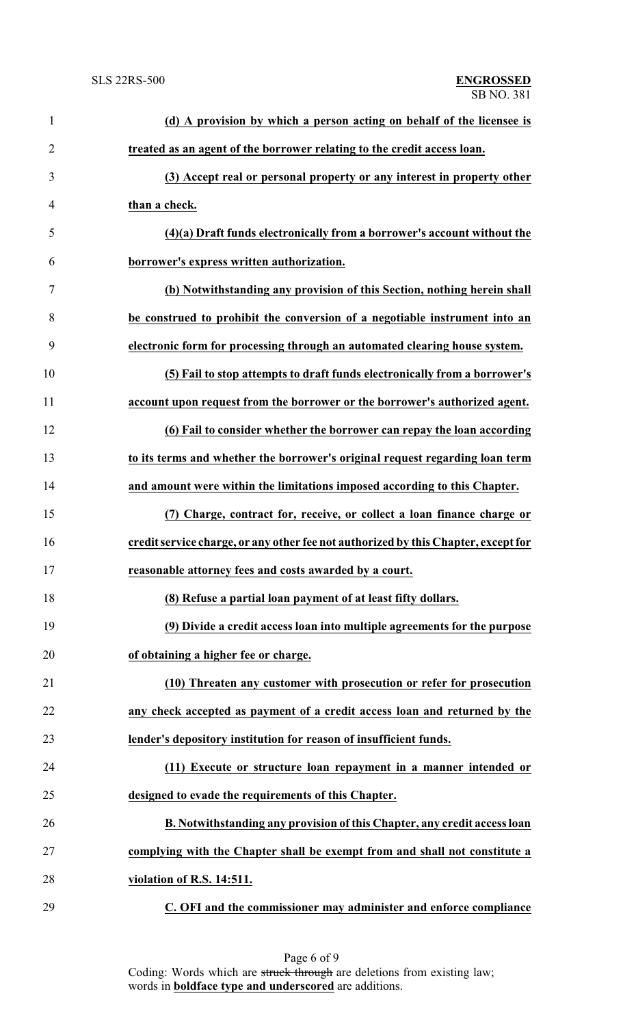| $\mathbf{1}$   | (d) A provision by which a person acting on behalf of the licensee is              |
|----------------|------------------------------------------------------------------------------------|
| $\overline{2}$ | treated as an agent of the borrower relating to the credit access loan.            |
| 3              | (3) Accept real or personal property or any interest in property other             |
| $\overline{4}$ | than a check.                                                                      |
| 5              | (4)(a) Draft funds electronically from a borrower's account without the            |
| 6              | borrower's express written authorization.                                          |
| $\tau$         | (b) Notwithstanding any provision of this Section, nothing herein shall            |
| 8              | be construed to prohibit the conversion of a negotiable instrument into an         |
| 9              | electronic form for processing through an automated clearing house system.         |
| 10             | (5) Fail to stop attempts to draft funds electronically from a borrower's          |
| 11             | account upon request from the borrower or the borrower's authorized agent.         |
| 12             | (6) Fail to consider whether the borrower can repay the loan according             |
| 13             | to its terms and whether the borrower's original request regarding loan term       |
| 14             | and amount were within the limitations imposed according to this Chapter.          |
| 15             | (7) Charge, contract for, receive, or collect a loan finance charge or             |
| 16             | credit service charge, or any other fee not authorized by this Chapter, except for |
| 17             | reasonable attorney fees and costs awarded by a court.                             |
| 18             | (8) Refuse a partial loan payment of at least fifty dollars.                       |
| 19             | (9) Divide a credit access loan into multiple agreements for the purpose           |
| 20             | of obtaining a higher fee or charge.                                               |
| 21             | (10) Threaten any customer with prosecution or refer for prosecution               |
| 22             | any check accepted as payment of a credit access loan and returned by the          |
| 23             | lender's depository institution for reason of insufficient funds.                  |
| 24             | (11) Execute or structure loan repayment in a manner intended or                   |
| 25             | designed to evade the requirements of this Chapter.                                |
| 26             | B. Notwithstanding any provision of this Chapter, any credit access loan           |
| 27             | complying with the Chapter shall be exempt from and shall not constitute a         |
| 28             | violation of R.S. 14:511.                                                          |
| 29             | C. OFI and the commissioner may administer and enforce compliance                  |

Page 6 of 9 Coding: Words which are struck through are deletions from existing law; words in **boldface type and underscored** are additions.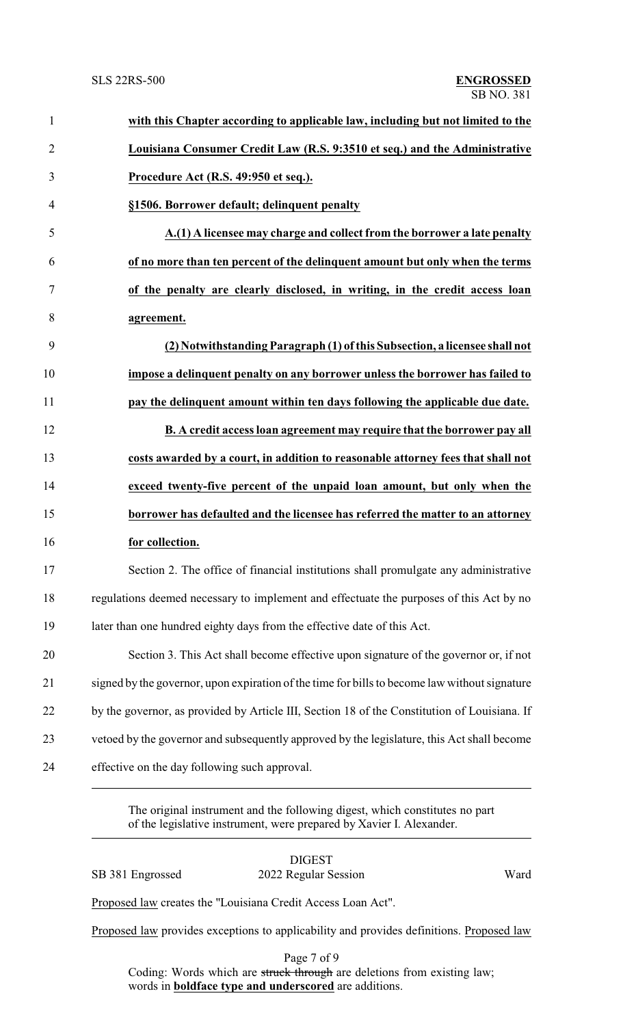| with this Chapter according to applicable law, including but not limited to the               |
|-----------------------------------------------------------------------------------------------|
| Louisiana Consumer Credit Law (R.S. 9:3510 et seq.) and the Administrative                    |
| Procedure Act (R.S. 49:950 et seq.).                                                          |
| §1506. Borrower default; delinquent penalty                                                   |
| A.(1) A licensee may charge and collect from the borrower a late penalty                      |
| of no more than ten percent of the delinquent amount but only when the terms                  |
| of the penalty are clearly disclosed, in writing, in the credit access loan                   |
| agreement.                                                                                    |
| (2) Notwithstanding Paragraph (1) of this Subsection, a licensee shall not                    |
| impose a delinquent penalty on any borrower unless the borrower has failed to                 |
| pay the delinquent amount within ten days following the applicable due date.                  |
| B. A credit access loan agreement may require that the borrower pay all                       |
| costs awarded by a court, in addition to reasonable attorney fees that shall not              |
| exceed twenty-five percent of the unpaid loan amount, but only when the                       |
| borrower has defaulted and the licensee has referred the matter to an attorney                |
| for collection.                                                                               |
| Section 2. The office of financial institutions shall promulgate any administrative           |
| regulations deemed necessary to implement and effectuate the purposes of this Act by no       |
| later than one hundred eighty days from the effective date of this Act.                       |
| Section 3. This Act shall become effective upon signature of the governor or, if not          |
| signed by the governor, upon expiration of the time for bills to become law without signature |
| by the governor, as provided by Article III, Section 18 of the Constitution of Louisiana. If  |
| vetoed by the governor and subsequently approved by the legislature, this Act shall become    |
| effective on the day following such approval.                                                 |

The original instrument and the following digest, which constitutes no part of the legislative instrument, were prepared by Xavier I. Alexander.

DIGEST

SB 381 Engrossed 2022 Regular Session Ward

Proposed law creates the "Louisiana Credit Access Loan Act".

Proposed law provides exceptions to applicability and provides definitions. Proposed law

Page 7 of 9 Coding: Words which are struck through are deletions from existing law; words in **boldface type and underscored** are additions.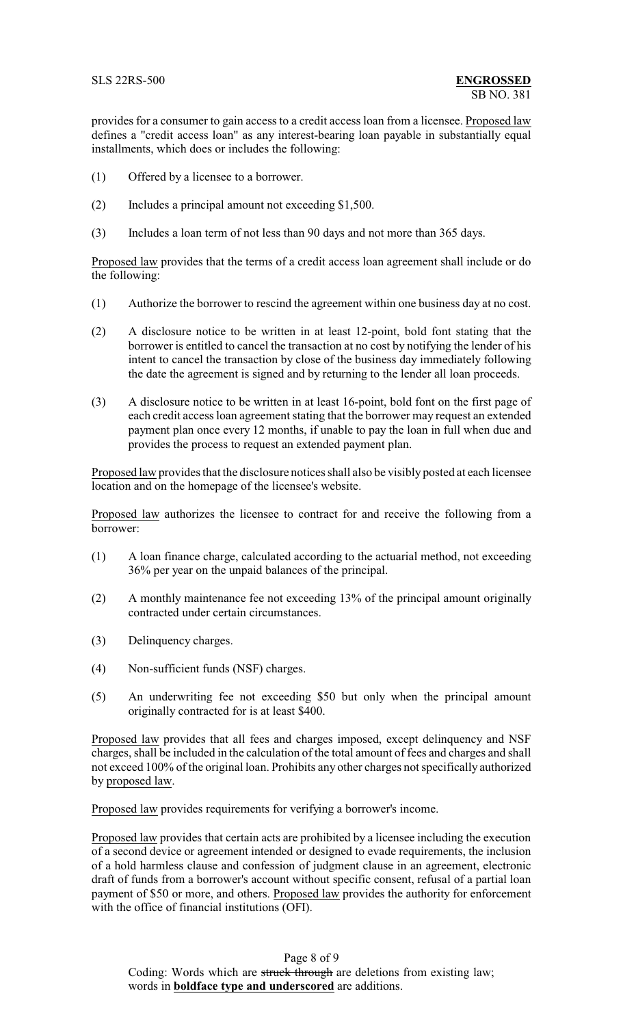provides for a consumer to gain access to a credit access loan from a licensee. Proposed law defines a "credit access loan" as any interest-bearing loan payable in substantially equal installments, which does or includes the following:

- (1) Offered by a licensee to a borrower.
- (2) Includes a principal amount not exceeding \$1,500.
- (3) Includes a loan term of not less than 90 days and not more than 365 days.

Proposed law provides that the terms of a credit access loan agreement shall include or do the following:

- (1) Authorize the borrower to rescind the agreement within one business day at no cost.
- (2) A disclosure notice to be written in at least 12-point, bold font stating that the borrower is entitled to cancel the transaction at no cost by notifying the lender of his intent to cancel the transaction by close of the business day immediately following the date the agreement is signed and by returning to the lender all loan proceeds.
- (3) A disclosure notice to be written in at least 16-point, bold font on the first page of each credit access loan agreement stating that the borrower may request an extended payment plan once every 12 months, if unable to pay the loan in full when due and provides the process to request an extended payment plan.

Proposed law provides that the disclosure notices shall also be visibly posted at each licensee location and on the homepage of the licensee's website.

Proposed law authorizes the licensee to contract for and receive the following from a borrower:

- (1) A loan finance charge, calculated according to the actuarial method, not exceeding 36% per year on the unpaid balances of the principal.
- (2) A monthly maintenance fee not exceeding 13% of the principal amount originally contracted under certain circumstances.
- (3) Delinquency charges.
- (4) Non-sufficient funds (NSF) charges.
- (5) An underwriting fee not exceeding \$50 but only when the principal amount originally contracted for is at least \$400.

Proposed law provides that all fees and charges imposed, except delinquency and NSF charges, shall be included in the calculation of the total amount of fees and charges and shall not exceed 100% of the original loan. Prohibits any other charges not specifically authorized by proposed law.

Proposed law provides requirements for verifying a borrower's income.

Proposed law provides that certain acts are prohibited by a licensee including the execution of a second device or agreement intended or designed to evade requirements, the inclusion of a hold harmless clause and confession of judgment clause in an agreement, electronic draft of funds from a borrower's account without specific consent, refusal of a partial loan payment of \$50 or more, and others. Proposed law provides the authority for enforcement with the office of financial institutions (OFI).

## Page 8 of 9

Coding: Words which are struck through are deletions from existing law; words in **boldface type and underscored** are additions.